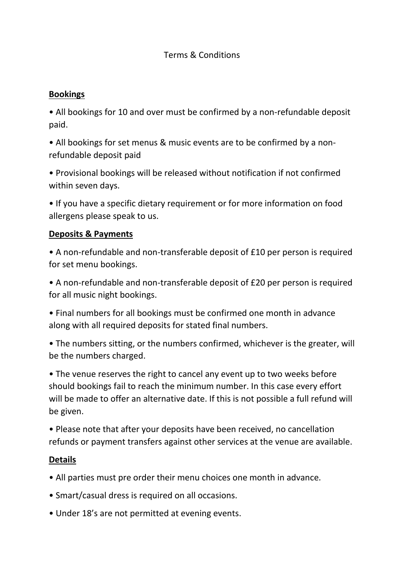## **Bookings**

• All bookings for 10 and over must be confirmed by a non-refundable deposit paid.

• All bookings for set menus & music events are to be confirmed by a nonrefundable deposit paid

• Provisional bookings will be released without notification if not confirmed within seven days.

• If you have a specific dietary requirement or for more information on food allergens please speak to us.

## **Deposits & Payments**

• A non-refundable and non-transferable deposit of £10 per person is required for set menu bookings.

• A non-refundable and non-transferable deposit of £20 per person is required for all music night bookings.

• Final numbers for all bookings must be confirmed one month in advance along with all required deposits for stated final numbers.

• The numbers sitting, or the numbers confirmed, whichever is the greater, will be the numbers charged.

• The venue reserves the right to cancel any event up to two weeks before should bookings fail to reach the minimum number. In this case every effort will be made to offer an alternative date. If this is not possible a full refund will be given.

• Please note that after your deposits have been received, no cancellation refunds or payment transfers against other services at the venue are available.

## **Details**

- All parties must pre order their menu choices one month in advance.
- Smart/casual dress is required on all occasions.
- Under 18's are not permitted at evening events.